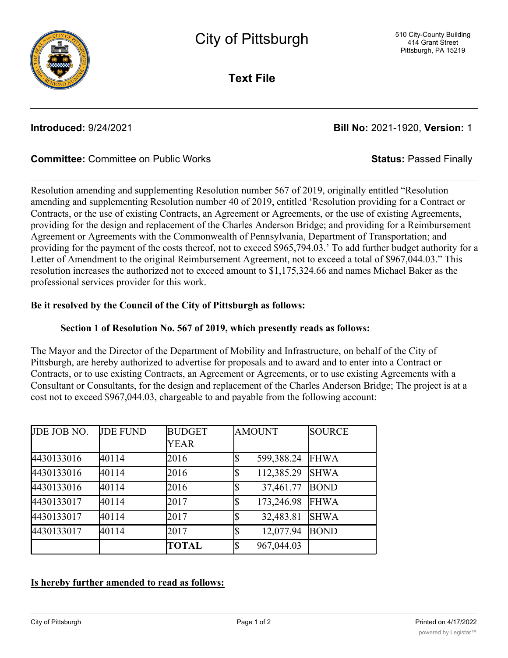

**Text File**

# **Introduced:** 9/24/2021 **Bill No:** 2021-1920, **Version:** 1

## **Committee:** Committee on Public Works **Status:** Passed Finally

Resolution amending and supplementing Resolution number 567 of 2019, originally entitled "Resolution amending and supplementing Resolution number 40 of 2019, entitled 'Resolution providing for a Contract or Contracts, or the use of existing Contracts, an Agreement or Agreements, or the use of existing Agreements, providing for the design and replacement of the Charles Anderson Bridge; and providing for a Reimbursement Agreement or Agreements with the Commonwealth of Pennsylvania, Department of Transportation; and providing for the payment of the costs thereof, not to exceed \$965,794.03.' To add further budget authority for a Letter of Amendment to the original Reimbursement Agreement, not to exceed a total of \$967,044.03." This resolution increases the authorized not to exceed amount to \$1,175,324.66 and names Michael Baker as the professional services provider for this work.

## **Be it resolved by the Council of the City of Pittsburgh as follows:**

## **Section 1 of Resolution No. 567 of 2019, which presently reads as follows:**

The Mayor and the Director of the Department of Mobility and Infrastructure, on behalf of the City of Pittsburgh, are hereby authorized to advertise for proposals and to award and to enter into a Contract or Contracts, or to use existing Contracts, an Agreement or Agreements, or to use existing Agreements with a Consultant or Consultants, for the design and replacement of the Charles Anderson Bridge; The project is at a cost not to exceed \$967,044.03, chargeable to and payable from the following account:

| JDE JOB NO. | <b>JDE FUND</b> | <b>BUDGET</b><br><b>YEAR</b> | <b>AMOUNT</b>    | <b>SOURCE</b> |
|-------------|-----------------|------------------------------|------------------|---------------|
| 4430133016  | 40114           | 2016                         | 599,388.24       | <b>FHWA</b>   |
| 4430133016  | 40114           | 2016                         | 112,385.29       | <b>SHWA</b>   |
| 4430133016  | 40114           | 2016                         | 37,461.77        | <b>BOND</b>   |
| 4430133017  | 40114           | 2017                         | ሖ<br>173,246.98  | <b>FHWA</b>   |
| 4430133017  | 40114           | 2017                         | 32,483.81        | <b>SHWA</b>   |
| 4430133017  | 40114           | 2017                         | 12,077.94        | <b>BOND</b>   |
|             |                 | <b>TOTAL</b>                 | Iৌ<br>967,044.03 |               |

## **Is hereby further amended to read as follows:**